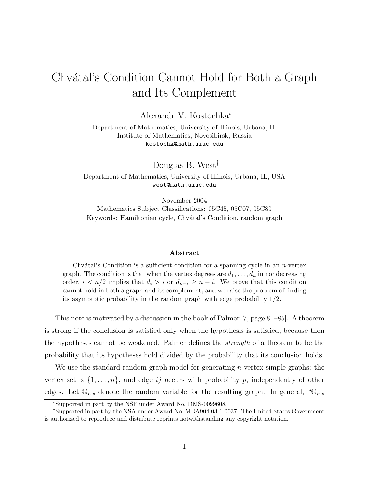## Chvátal's Condition Cannot Hold for Both a Graph and Its Complement

Alexandr V. Kostochka<sup>∗</sup>

Department of Mathematics, University of Illinois, Urbana, IL Institute of Mathematics, Novosibirsk, Russia kostochk@math.uiuc.edu

Douglas B. West†

Department of Mathematics, University of Illinois, Urbana, IL, USA west@math.uiuc.edu

November 2004 Mathematics Subject Classifications: 05C45, 05C07, 05C80 Keywords: Hamiltonian cycle, Chvátal's Condition, random graph

## Abstract

Chv $\alpha$ tal's Condition is a sufficient condition for a spanning cycle in an *n*-vertex graph. The condition is that when the vertex degrees are  $d_1, \ldots, d_n$  in nondecreasing order,  $i < n/2$  implies that  $d_i > i$  or  $d_{n-i} \geq n-i$ . We prove that this condition cannot hold in both a graph and its complement, and we raise the problem of finding its asymptotic probability in the random graph with edge probability  $1/2$ .

This note is motivated by a discussion in the book of Palmer [7, page 81–85]. A theorem is strong if the conclusion is satisfied only when the hypothesis is satisfied, because then the hypotheses cannot be weakened. Palmer defines the strength of a theorem to be the probability that its hypotheses hold divided by the probability that its conclusion holds.

We use the standard random graph model for generating *n*-vertex simple graphs: the vertex set is  $\{1, \ldots, n\}$ , and edge ij occurs with probability p, independently of other edges. Let  $\mathbb{G}_{n,p}$  denote the random variable for the resulting graph. In general, " $\mathbb{G}_{n,p}$ 

<sup>∗</sup>Supported in part by the NSF under Award No. DMS-0099608.

<sup>†</sup>Supported in part by the NSA under Award No. MDA904-03-1-0037. The United States Government is authorized to reproduce and distribute reprints notwithstanding any copyright notation.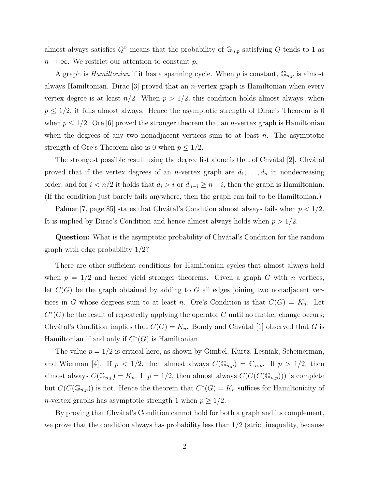almost always satisfies Q" means that the probability of  $\mathbb{G}_{n,p}$  satisfying Q tends to 1 as  $n \to \infty$ . We restrict our attention to constant p.

A graph is *Hamiltonian* if it has a spanning cycle. When p is constant,  $\mathbb{G}_{n,p}$  is almost always Hamiltonian. Dirac  $\lvert 3 \rvert$  proved that an *n*-vertex graph is Hamiltonian when every vertex degree is at least  $n/2$ . When  $p > 1/2$ , this condition holds almost always; when  $p \leq 1/2$ , it fails almost always. Hence the asymptotic strength of Dirac's Theorem is 0 when  $p \leq 1/2$ . Ore [6] proved the stronger theorem that an *n*-vertex graph is Hamiltonian when the degrees of any two nonadjacent vertices sum to at least  $n$ . The asymptotic strength of Ore's Theorem also is 0 when  $p \leq 1/2$ .

The strongest possible result using the degree list alone is that of Chv $\alpha$ tal [2]. Chv $\alpha$ tal proved that if the vertex degrees of an *n*-vertex graph are  $d_1, \ldots, d_n$  in nondecreasing order, and for  $i < n/2$  it holds that  $d_i > i$  or  $d_{n-i} \geq n-i$ , then the graph is Hamiltonian. (If the condition just barely fails anywhere, then the graph can fail to be Hamiltonian.)

Palmer [7, page 85] states that Chvátal's Condition almost always fails when  $p < 1/2$ . It is implied by Dirac's Condition and hence almost always holds when  $p > 1/2$ .

Question: What is the asymptotic probability of Chvátal's Condition for the random graph with edge probability 1/2?

There are other sufficient conditions for Hamiltonian cycles that almost always hold when  $p = 1/2$  and hence yield stronger theorems. Given a graph G with n vertices, let  $C(G)$  be the graph obtained by adding to G all edges joining two nonadjacent vertices in G whose degrees sum to at least n. Ore's Condition is that  $C(G) = K_n$ . Let  $C^*(G)$  be the result of repeatedly applying the operator C until no further change occurs; Chvátal's Condition implies that  $C(G) = K_n$ . Bondy and Chvátal [1] observed that G is Hamiltonian if and only if  $C^*(G)$  is Hamiltonian.

The value  $p = 1/2$  is critical here, as shown by Gimbel, Kurtz, Lesniak, Scheinerman, and Wierman [4]. If  $p < 1/2$ , then almost always  $C(\mathbb{G}_{n,p}) = \mathbb{G}_{n,p}$ . If  $p > 1/2$ , then almost always  $C(\mathbb{G}_{n,p}) = K_n$ . If  $p = 1/2$ , then almost always  $C(C(C(\mathbb{G}_{n,p})))$  is complete but  $C(C(\mathbb{G}_{n,p}))$  is not. Hence the theorem that  $C^*(G) = K_n$  suffices for Hamiltonicity of *n*-vertex graphs has asymptotic strength 1 when  $p \geq 1/2$ .

By proving that Chvátal's Condition cannot hold for both a graph and its complement, we prove that the condition always has probability less than  $1/2$  (strict inequality, because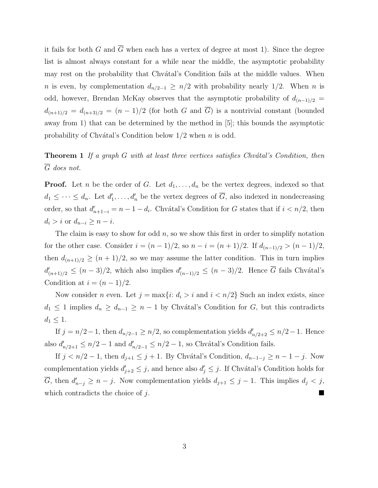it fails for both G and  $\overline{G}$  when each has a vertex of degree at most 1). Since the degree list is almost always constant for a while near the middle, the asymptotic probability may rest on the probability that Chvátal's Condition fails at the middle values. When *n* is even, by complementation  $d_{n/2-1} \geq n/2$  with probability nearly 1/2. When *n* is odd, however, Brendan McKay observes that the asymptotic probability of  $d_{(n-1)/2}$  $d_{(n+1)/2} = d_{(n+3)/2} = (n-1)/2$  (for both G and  $\overline{G}$ ) is a nontrivial constant (bounded away from 1) that can be determined by the method in [5]; this bounds the asymptotic probability of Chvátal's Condition below  $1/2$  when n is odd.

## **Theorem 1** If a graph  $G$  with at least three vertices satisfies Chvátal's Condition, then  $\overline{G}$  does not.

**Proof.** Let n be the order of G. Let  $d_1, \ldots, d_n$  be the vertex degrees, indexed so that  $d_1 \leq \cdots \leq d_n$ . Let  $d'_1$  $d'_1, \ldots, d'_n$  be the vertex degrees of  $\overline{G}$ , also indexed in nondecreasing order, so that  $d'_{n+1-i} = n-1-d_i$ . Chvátal's Condition for G states that if  $i < n/2$ , then  $d_i > i$  or  $d_{n-i} \geq n-i$ .

The claim is easy to show for odd  $n$ , so we show this first in order to simplify notation for the other case. Consider  $i = (n-1)/2$ , so  $n - i = (n+1)/2$ . If  $d_{(n-1)/2} > (n-1)/2$ , then  $d_{(n+1)/2} \ge (n+1)/2$ , so we may assume the latter condition. This in turn implies  $d'_{(n+1)/2} \leq (n-3)/2$ , which also implies  $d'_{(n-1)/2} \leq (n-3)/2$ . Hence  $\overline{G}$  fails Chvátal's Condition at  $i = (n-1)/2$ .

Now consider *n* even. Let  $j = \max\{i: d_i > i \text{ and } i < n/2\}$  Such an index exists, since  $d_1 \leq 1$  implies  $d_n \geq d_{n-1} \geq n-1$  by Chvátal's Condition for G, but this contradicts  $d_1 \leq 1$ .

If  $j = n/2 - 1$ , then  $d_{n/2-1} \geq n/2$ , so complementation yields  $d'_{n/2+2} \leq n/2 - 1$ . Hence also  $d'_{n/2+1} \leq n/2 - 1$  and  $d'_{n/2-1} \leq n/2 - 1$ , so Chvátal's Condition fails.

If  $j < n/2 - 1$ , then  $d_{j+1} \leq j+1$ . By Chvátal's Condition,  $d_{n-1-j} \geq n-1-j$ . Now complementation yields  $d'_{j+2} \leq j$ , and hence also  $d'_{j} \leq j$ . If Chvátal's Condition holds for  $\overline{G}$ , then  $d'_{n-j} \geq n-j$ . Now complementation yields  $d_{j+1} \leq j-1$ . This implies  $d_j < j$ , which contradicts the choice of  $j$ .